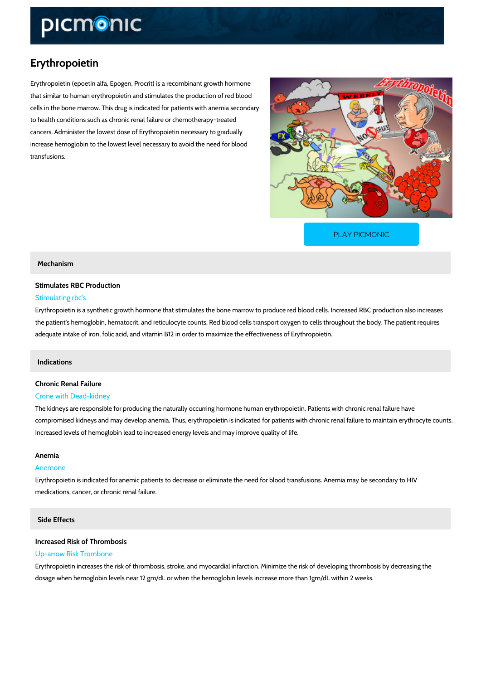## Erythropoietin

Erythropoietin (epoetin alfa, Epogen, Procrit) is a recombinant growth hormone that similar to human erythropoietin and stimulates the production of red blood cells in the bone marrow. This drug is indicated for patients with anemia secondary to health conditions such as chronic renal failure or chemotherapy-treated cancers. Administer the lowest dose of Erythropoietin necessary to gradually increase hemoglobin to the lowest level necessary to avoid the need for blood transfusions.

[PLAY PICMONIC](https://www.picmonic.com/learn/erythropoietin_2008?utm_source=downloadable_content&utm_medium=distributedcontent&utm_campaign=pathways_pdf&utm_content=Erythropoietin&utm_ad_group=leads&utm_market=all)

## Mechanism

## Stimulates RBC Production Stimulating rbc's

Erythropoietin is a synthetic growth hormone that stimulates the bone marrow to produce red I the patient's hemoglobin, hematocrit, and reticulocyte counts. Red blood cells transport oxyge adequate intake of iron, folic acid, and vitamin B12 in order to maximize the effectiveness of

## Indications

## Chronic Renal Failure

#### Crone with Dead-kidney

The kidneys are responsible for producing the naturally occurring hormone human erythropoie compromised kidneys and may develop anemia. Thus, erythropoietin is indicated for patients w Increased levels of hemoglobin lead to increased energy levels and may improve quality of lif

### Anemia

## Anemone

Erythropoietin is indicated for anemic patients to decrease or eliminate the need for blood tra medications, cancer, or chronic renal failure.

## Side Effects

## Increased Risk of Thrombosis Up-arrow Risk Trombone

Erythropoietin increases the risk of thrombosis, stroke, and myocardial infarction. Minimize th dosage when hemoglobin levels near 12 gm/dL or when the hemoglobin levels increase more th